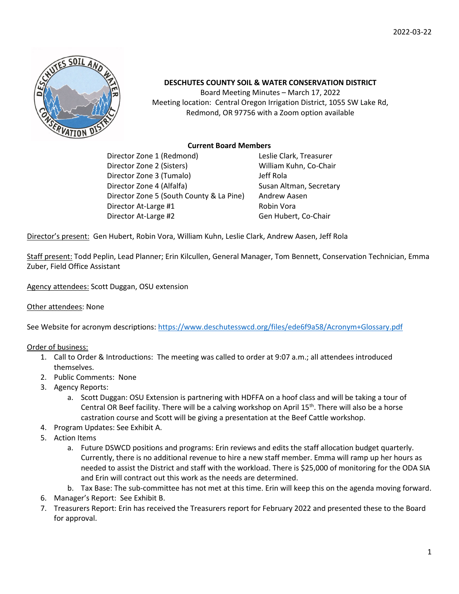

## **DESCHUTES COUNTY SOIL & WATER CONSERVATION DISTRICT**

Board Meeting Minutes – March 17, 2022 Meeting location: Central Oregon Irrigation District, 1055 SW Lake Rd, Redmond, OR 97756 with a Zoom option available

### **Current Board Members**

Director Zone 1 (Redmond) Leslie Clark, Treasurer Director Zone 2 (Sisters) William Kuhn, Co-Chair Director Zone 3 (Tumalo) Jeff Rola Director Zone 4 (Alfalfa) Susan Altman, Secretary Director Zone 5 (South County & La Pine) Andrew Aasen Director At-Large #1 Robin Vora Director At-Large #2 Gen Hubert, Co-Chair

Director's present: Gen Hubert, Robin Vora, William Kuhn, Leslie Clark, Andrew Aasen, Jeff Rola

Staff present: Todd Peplin, Lead Planner; Erin Kilcullen, General Manager, Tom Bennett, Conservation Technician, Emma Zuber, Field Office Assistant

Agency attendees: Scott Duggan, OSU extension

#### Other attendees: None

See Website for acronym descriptions:<https://www.deschutesswcd.org/files/ede6f9a58/Acronym+Glossary.pdf>

Order of business:

- 1. Call to Order & Introductions: The meeting was called to order at 9:07 a.m.; all attendees introduced themselves.
- 2. Public Comments: None
- 3. Agency Reports:
	- a. Scott Duggan: OSU Extension is partnering with HDFFA on a hoof class and will be taking a tour of Central OR Beef facility. There will be a calving workshop on April 15<sup>th</sup>. There will also be a horse castration course and Scott will be giving a presentation at the Beef Cattle workshop.
- 4. Program Updates: See Exhibit A.
- 5. Action Items
	- a. Future DSWCD positions and programs: Erin reviews and edits the staff allocation budget quarterly. Currently, there is no additional revenue to hire a new staff member. Emma will ramp up her hours as needed to assist the District and staff with the workload. There is \$25,000 of monitoring for the ODA SIA and Erin will contract out this work as the needs are determined.
	- b. Tax Base: The sub-committee has not met at this time. Erin will keep this on the agenda moving forward.
- 6. Manager's Report: See Exhibit B.
- 7. Treasurers Report: Erin has received the Treasurers report for February 2022 and presented these to the Board for approval.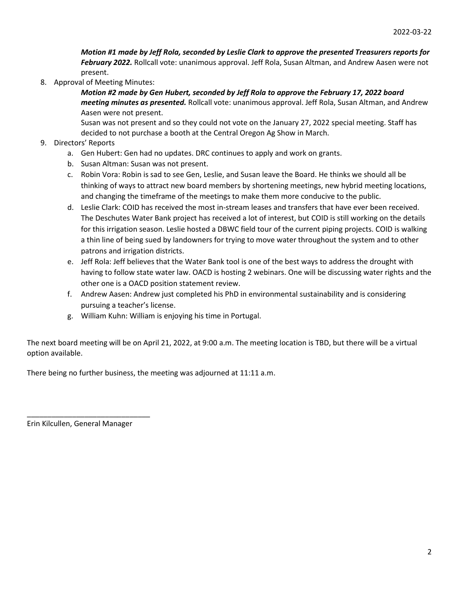*Motion #1 made by Jeff Rola, seconded by Leslie Clark to approve the presented Treasurers reports for February 2022.* Rollcall vote: unanimous approval. Jeff Rola, Susan Altman, and Andrew Aasen were not present.

8. Approval of Meeting Minutes:

*Motion #2 made by Gen Hubert, seconded by Jeff Rola to approve the February 17, 2022 board meeting minutes as presented.* Rollcall vote: unanimous approval. Jeff Rola, Susan Altman, and Andrew Aasen were not present.

Susan was not present and so they could not vote on the January 27, 2022 special meeting. Staff has decided to not purchase a booth at the Central Oregon Ag Show in March.

- 9. Directors' Reports
	- a. Gen Hubert: Gen had no updates. DRC continues to apply and work on grants.
	- b. Susan Altman: Susan was not present.
	- c. Robin Vora: Robin is sad to see Gen, Leslie, and Susan leave the Board. He thinks we should all be thinking of ways to attract new board members by shortening meetings, new hybrid meeting locations, and changing the timeframe of the meetings to make them more conducive to the public.
	- d. Leslie Clark: COID has received the most in-stream leases and transfers that have ever been received. The Deschutes Water Bank project has received a lot of interest, but COID is still working on the details for this irrigation season. Leslie hosted a DBWC field tour of the current piping projects. COID is walking a thin line of being sued by landowners for trying to move water throughout the system and to other patrons and irrigation districts.
	- e. Jeff Rola: Jeff believes that the Water Bank tool is one of the best ways to address the drought with having to follow state water law. OACD is hosting 2 webinars. One will be discussing water rights and the other one is a OACD position statement review.
	- f. Andrew Aasen: Andrew just completed his PhD in environmental sustainability and is considering pursuing a teacher's license.
	- g. William Kuhn: William is enjoying his time in Portugal.

The next board meeting will be on April 21, 2022, at 9:00 a.m. The meeting location is TBD, but there will be a virtual option available.

There being no further business, the meeting was adjourned at 11:11 a.m.

Erin Kilcullen, General Manager

\_\_\_\_\_\_\_\_\_\_\_\_\_\_\_\_\_\_\_\_\_\_\_\_\_\_\_\_\_\_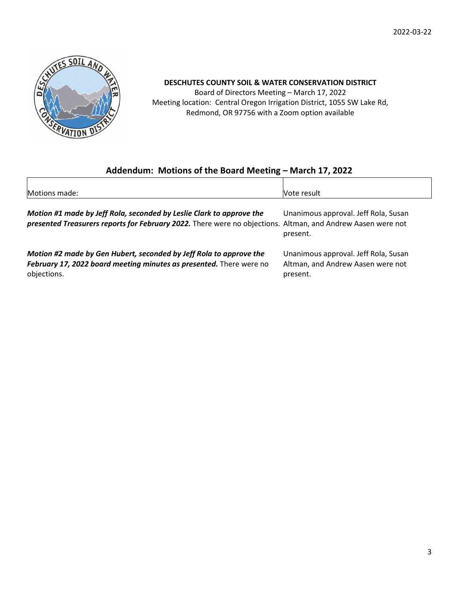

## **DESCHUTES COUNTY SOIL & WATER CONSERVATION DISTRICT**

Board of Directors Meeting – March 17, 2022 Meeting location: Central Oregon Irrigation District, 1055 SW Lake Rd, Redmond, OR 97756 with a Zoom option available

# **Addendum: Motions of the Board Meeting – March 17, 2022**

| Motions made:                                                                                               | Vote result                          |
|-------------------------------------------------------------------------------------------------------------|--------------------------------------|
| Motion #1 made by Jeff Rola, seconded by Leslie Clark to approve the                                        | Unanimous approval. Jeff Rola, Susan |
| presented Treasurers reports for February 2022. There were no objections. Altman, and Andrew Aasen were not | present.                             |
| Motion #2 made by Gen Hubert, seconded by Jeff Rola to approve the                                          | Unanimous approval. Jeff Rola, Susan |
| February 17, 2022 board meeting minutes as presented. There were no                                         | Altman, and Andrew Aasen were not    |
| objections.                                                                                                 | present.                             |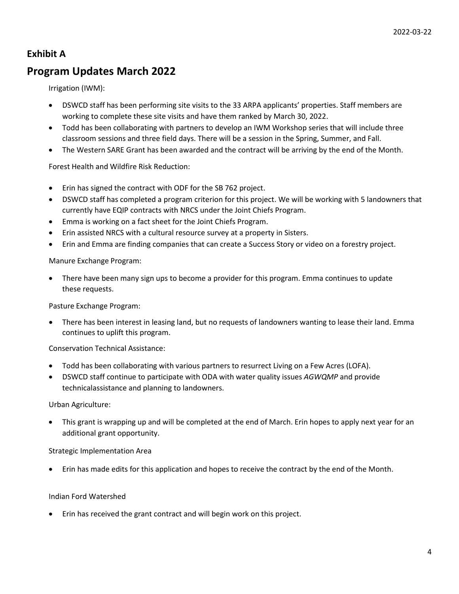## **Exhibit A**

# **Program Updates March 2022**

Irrigation (IWM):

- DSWCD staff has been performing site visits to the 33 ARPA applicants' properties. Staff members are working to complete these site visits and have them ranked by March 30, 2022.
- Todd has been collaborating with partners to develop an IWM Workshop series that will include three classroom sessions and three field days. There will be a session in the Spring, Summer, and Fall.
- The Western SARE Grant has been awarded and the contract will be arriving by the end of the Month.

### Forest Health and Wildfire Risk Reduction:

- Erin has signed the contract with ODF for the SB 762 project.
- DSWCD staff has completed a program criterion for this project. We will be working with 5 landowners that currently have EQIP contracts with NRCS under the Joint Chiefs Program.
- Emma is working on a fact sheet for the Joint Chiefs Program.
- Erin assisted NRCS with a cultural resource survey at a property in Sisters.
- Erin and Emma are finding companies that can create a Success Story or video on a forestry project.

Manure Exchange Program:

• There have been many sign ups to become a provider for this program. Emma continues to update these requests.

Pasture Exchange Program:

• There has been interest in leasing land, but no requests of landowners wanting to lease their land. Emma continues to uplift this program.

Conservation Technical Assistance:

- Todd has been collaborating with various partners to resurrect Living on a Few Acres (LOFA).
- DSWCD staff continue to participate with ODA with water quality issues *AGWQMP* and provide technicalassistance and planning to landowners.

Urban Agriculture:

• This grant is wrapping up and will be completed at the end of March. Erin hopes to apply next year for an additional grant opportunity.

#### Strategic Implementation Area

• Erin has made edits for this application and hopes to receive the contract by the end of the Month.

#### Indian Ford Watershed

• Erin has received the grant contract and will begin work on this project.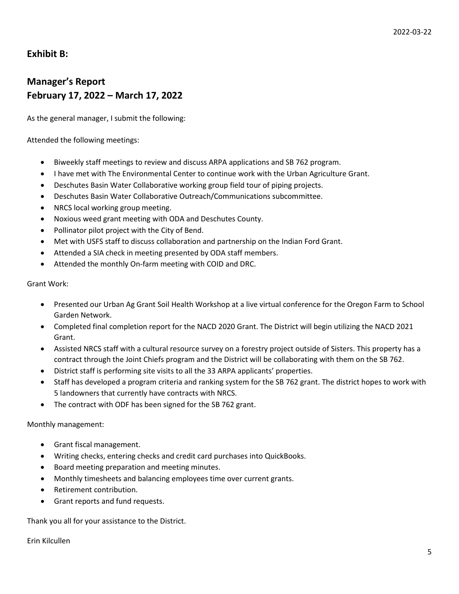## **Exhibit B:**

# **Manager's Report February 17, 2022 – March 17, 2022**

As the general manager, I submit the following:

Attended the following meetings:

- Biweekly staff meetings to review and discuss ARPA applications and SB 762 program.
- I have met with The Environmental Center to continue work with the Urban Agriculture Grant.
- Deschutes Basin Water Collaborative working group field tour of piping projects.
- Deschutes Basin Water Collaborative Outreach/Communications subcommittee.
- NRCS local working group meeting.
- Noxious weed grant meeting with ODA and Deschutes County.
- Pollinator pilot project with the City of Bend.
- Met with USFS staff to discuss collaboration and partnership on the Indian Ford Grant.
- Attended a SIA check in meeting presented by ODA staff members.
- Attended the monthly On-farm meeting with COID and DRC.

Grant Work:

- Presented our Urban Ag Grant Soil Health Workshop at a live virtual conference for the Oregon Farm to School Garden Network.
- Completed final completion report for the NACD 2020 Grant. The District will begin utilizing the NACD 2021 Grant.
- Assisted NRCS staff with a cultural resource survey on a forestry project outside of Sisters. This property has a contract through the Joint Chiefs program and the District will be collaborating with them on the SB 762.
- District staff is performing site visits to all the 33 ARPA applicants' properties.
- Staff has developed a program criteria and ranking system for the SB 762 grant. The district hopes to work with 5 landowners that currently have contracts with NRCS.
- The contract with ODF has been signed for the SB 762 grant.

Monthly management:

- Grant fiscal management.
- Writing checks, entering checks and credit card purchases into QuickBooks.
- Board meeting preparation and meeting minutes.
- Monthly timesheets and balancing employees time over current grants.
- Retirement contribution.
- Grant reports and fund requests.

Thank you all for your assistance to the District.

Erin Kilcullen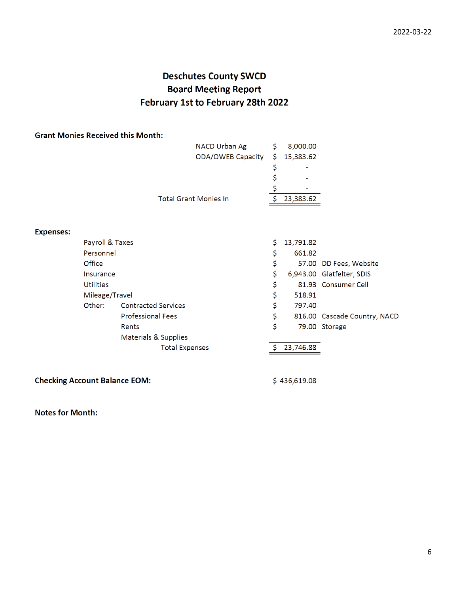# **Deschutes County SWCD Board Meeting Report** February 1st to February 28th 2022

### **Grant Monies Received this Month:**

| NACD Urban Ag                | 8,000.00    |
|------------------------------|-------------|
| ODA/OWEB Capacity            | \$15,383.62 |
|                              | ٠           |
|                              | ٠           |
|                              | ٠           |
| <b>Total Grant Monies In</b> | 23,383.62   |
|                              |             |

### **Expenses:**

| Payroll & Taxes  |                            | Ŝ. | 13,791.82 |                              |
|------------------|----------------------------|----|-----------|------------------------------|
| Personnel        |                            | \$ | 661.82    |                              |
| Office           |                            | \$ |           | 57.00 DD Fees, Website       |
| Insurance        |                            | \$ |           | 6,943.00 Glatfelter, SDIS    |
| <b>Utilities</b> |                            | \$ |           | 81.93 Consumer Cell          |
| Mileage/Travel   |                            | \$ | 518.91    |                              |
| Other:           | <b>Contracted Services</b> | \$ | 797.40    |                              |
|                  | <b>Professional Fees</b>   | \$ |           | 816.00 Cascade Country, NACD |
|                  | Rents                      | \$ |           | 79.00 Storage                |
|                  | Materials & Supplies       |    |           |                              |
|                  | <b>Total Expenses</b>      |    | 23,746.88 |                              |

**Checking Account Balance EOM:** 

 $$436,619.08$ 

**Notes for Month:**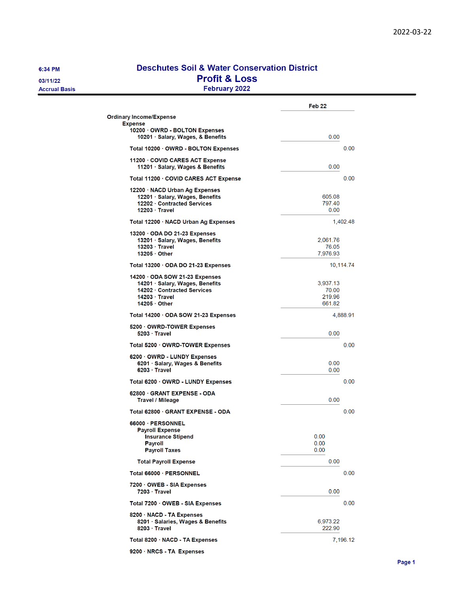6:34 PM

03/11/22 **Accrual Basis** 

## **Deschutes Soil & Water Conservation District Profit & Loss** February 2022

|                                                                                                                                             | Feb <sub>22</sub>                     |
|---------------------------------------------------------------------------------------------------------------------------------------------|---------------------------------------|
| <b>Ordinary Income/Expense</b><br><b>Expense</b>                                                                                            |                                       |
| 10200 OWRD - BOLTON Expenses<br>10201 · Salary, Wages, & Benefits                                                                           | 0.00                                  |
| Total 10200 · OWRD - BOLTON Expenses                                                                                                        | 0.00                                  |
| 11200 · COVID CARES ACT Expense<br>11201 · Salary, Wages & Benefits                                                                         | 0.00                                  |
| Total 11200 · COVID CARES ACT Expense                                                                                                       | 0.00                                  |
| 12200 · NACD Urban Ag Expenses<br>12201 · Salary, Wages, Benefits<br>12202 · Contracted Services<br>$12203 \cdot$ Travel                    | 605.08<br>797.40<br>0.00              |
| Total 12200 · NACD Urban Ag Expenses                                                                                                        | 1,402.48                              |
| 13200 ODA DO 21-23 Expenses<br>13201 · Salary, Wages, Benefits<br>13203 · Travel<br>$13205 \cdot$ Other                                     | 2,061.76<br>76.05<br>7,976.93         |
| Total 13200 · ODA DO 21-23 Expenses                                                                                                         | 10,114.74                             |
| 14200 ODA SOW 21-23 Expenses<br>14201 · Salary, Wages, Benefits<br>14202 Contracted Services<br>$14203 \cdot$ Travel<br>$14205 \cdot$ Other | 3,937.13<br>70.00<br>219.96<br>661.82 |
| Total 14200 ODA SOW 21-23 Expenses                                                                                                          | 4,888.91                              |
| 5200 OWRD-TOWER Expenses<br>5203 Travel                                                                                                     | 0.00                                  |
| Total 5200 · OWRD-TOWER Expenses                                                                                                            | 0.00                                  |
| 6200 OWRD - LUNDY Expenses<br>6201 Salary, Wages & Benefits<br>$6203 \cdot$ Travel                                                          | 0.00<br>0.00                          |
| Total 6200 · OWRD - LUNDY Expenses                                                                                                          | 0.00                                  |
| 62800 GRANT EXPENSE - ODA<br>Travel / Mileage                                                                                               | 0.00                                  |
| Total 62800 · GRANT EXPENSE - ODA                                                                                                           | 0.00                                  |
| 66000 · PERSONNEL<br><b>Payroll Expense</b><br><b>Insurance Stipend</b><br>Payroll<br><b>Payroll Taxes</b>                                  | 0.00<br>0.00<br>0.00                  |
| <b>Total Payroll Expense</b>                                                                                                                | 0.00                                  |
| Total 66000 · PERSONNEL                                                                                                                     | 0.00                                  |
| 7200 OWEB - SIA Expenses<br>7203 Travel                                                                                                     | 0.00                                  |
| Total 7200 · OWEB - SIA Expenses                                                                                                            | 0.00                                  |
| 8200 · NACD - TA Expenses<br>8201 Salaries, Wages & Benefits<br>8203 Travel                                                                 | 6,973.22<br>222.90                    |
| Total 8200 · NACD - TA Expenses                                                                                                             | 7,196.12                              |
|                                                                                                                                             |                                       |